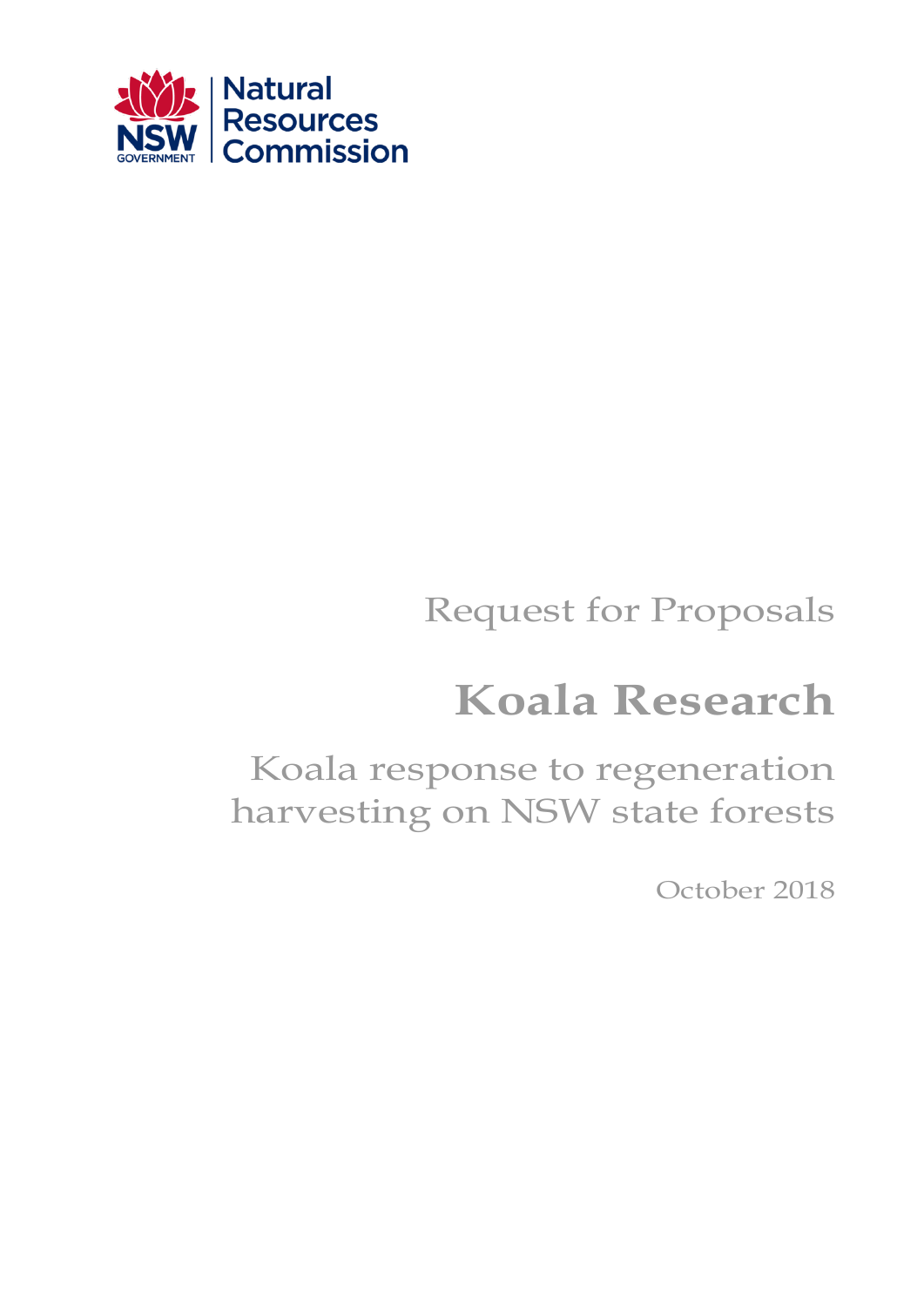

# Request for Proposals

# **Koala Research**

Koala response to regeneration harvesting on NSW state forests

October 2018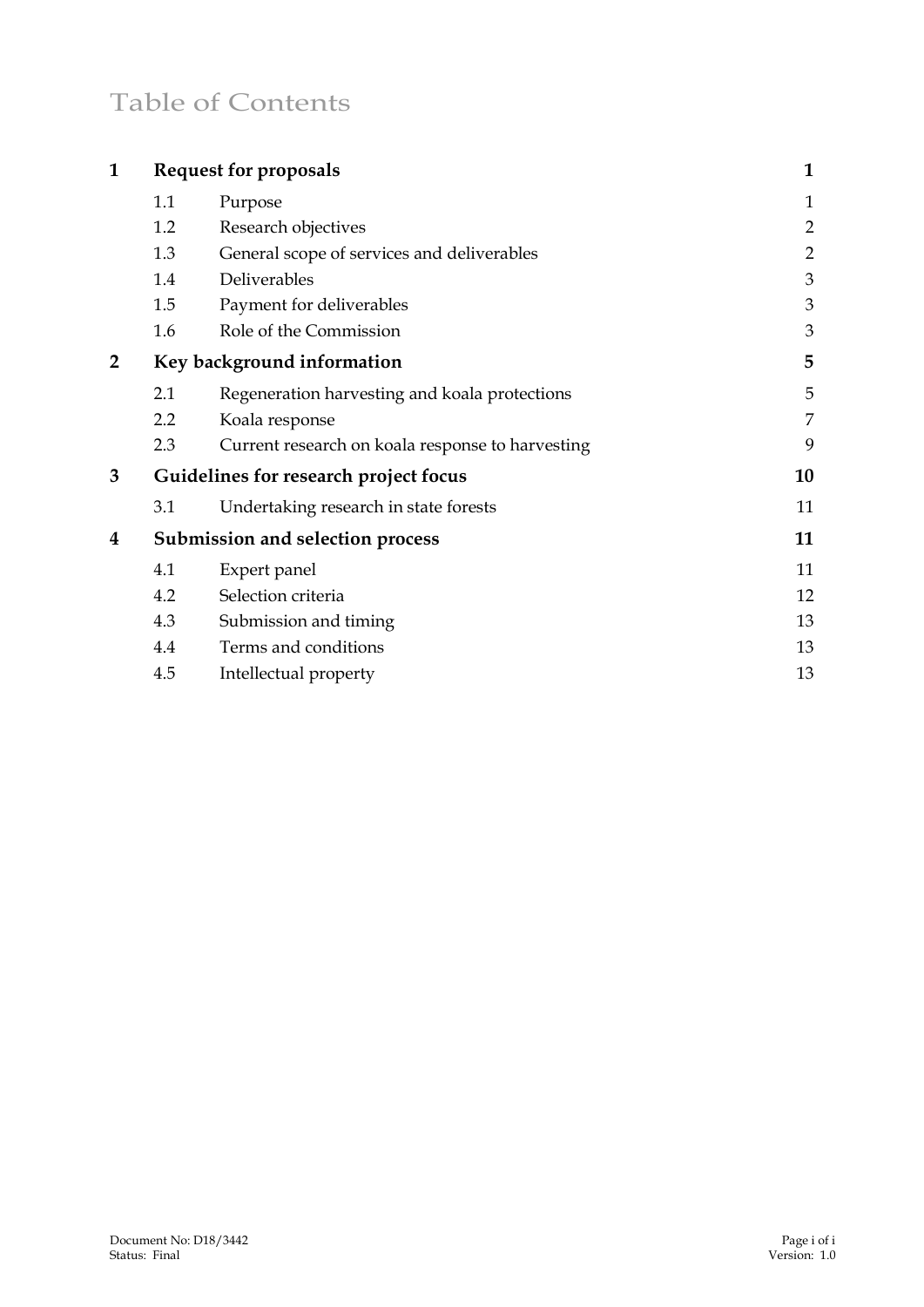## Table of Contents

| $\mathbf{1}$   | <b>Request for proposals</b>          |                                                  | $\mathbf{1}$   |
|----------------|---------------------------------------|--------------------------------------------------|----------------|
|                | 1.1                                   | Purpose                                          | $\mathbf{1}$   |
|                | 1.2                                   | Research objectives                              | $\overline{2}$ |
|                | 1.3                                   | General scope of services and deliverables       | $\overline{2}$ |
|                | 1.4                                   | Deliverables                                     | 3              |
|                | 1.5                                   | Payment for deliverables                         | 3              |
|                | 1.6                                   | Role of the Commission                           | 3              |
| $\overline{2}$ | Key background information            |                                                  | 5              |
|                | 2.1                                   | Regeneration harvesting and koala protections    | 5              |
|                | 2.2                                   | Koala response                                   | 7              |
|                | 2.3                                   | Current research on koala response to harvesting | 9              |
| 3              | Guidelines for research project focus |                                                  | 10             |
|                | 3.1                                   | Undertaking research in state forests            | 11             |
| 4              | Submission and selection process      |                                                  | 11             |
|                | 4.1                                   | Expert panel                                     | 11             |
|                | 4.2                                   | Selection criteria                               | 12             |
|                | 4.3                                   | Submission and timing                            | 13             |
|                | 4.4                                   | Terms and conditions                             | 13             |
|                | 4.5                                   | Intellectual property                            | 13             |
|                |                                       |                                                  |                |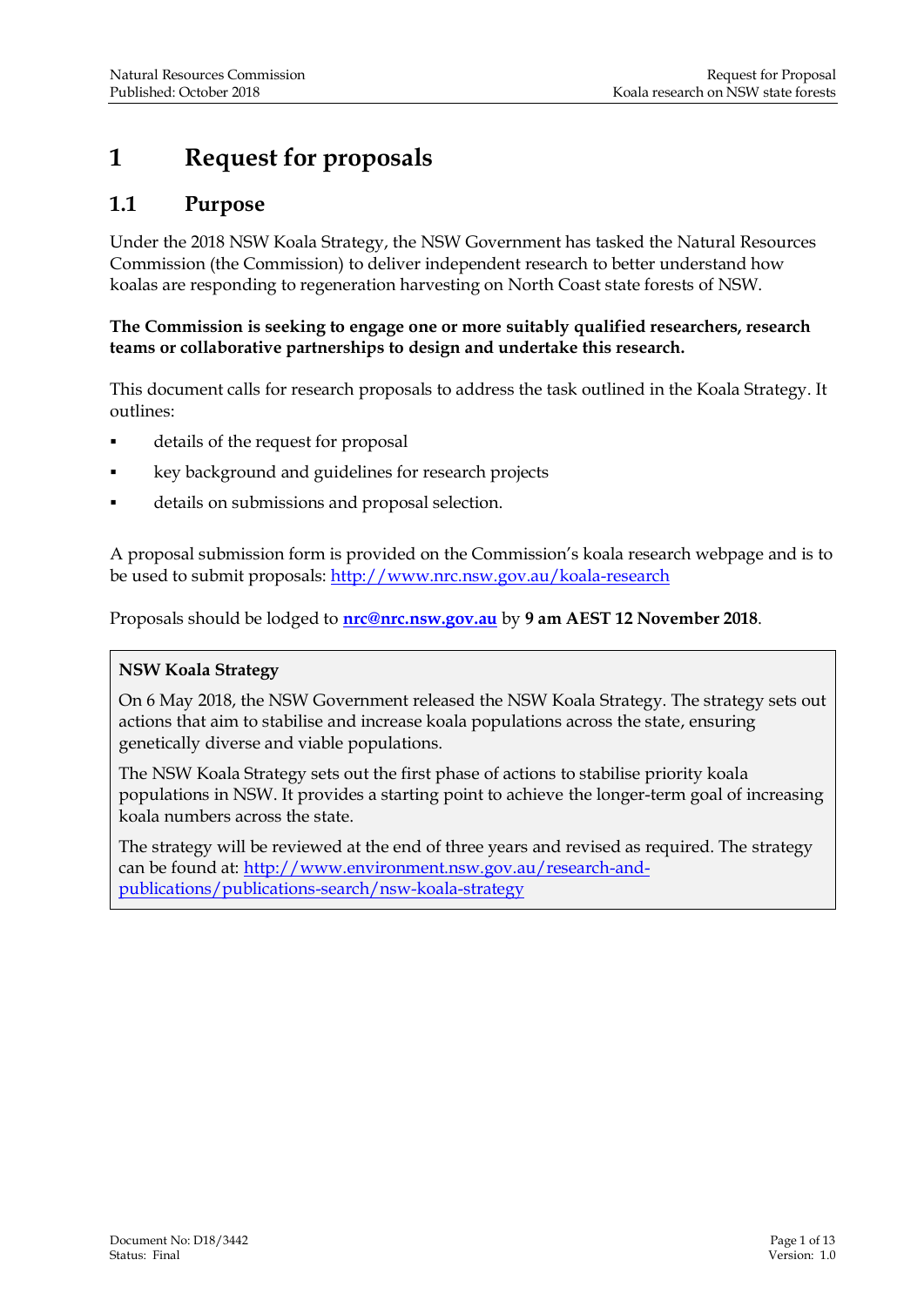## <span id="page-2-0"></span>**1 Request for proposals**

#### <span id="page-2-1"></span>**1.1 Purpose**

Under the 2018 NSW Koala Strategy, the NSW Government has tasked the Natural Resources Commission (the Commission) to deliver independent research to better understand how koalas are responding to regeneration harvesting on North Coast state forests of NSW.

#### **The Commission is seeking to engage one or more suitably qualified researchers, research teams or collaborative partnerships to design and undertake this research.**

This document calls for research proposals to address the task outlined in the Koala Strategy. It outlines:

- details of the request for proposal
- key background and guidelines for research projects
- details on submissions and proposal selection.

A proposal submission form is provided on the Commission's koala research webpage and is to be used to submit proposals:<http://www.nrc.nsw.gov.au/koala-research>

Proposals should be lodged to **[nrc@nrc.nsw.gov.au](mailto:nrc@nrc.nsw.gov.au)** by **9 am AEST 12 November 2018**.

#### **NSW Koala Strategy**

On 6 May 2018, the NSW Government released the NSW Koala Strategy. The strategy sets out actions that aim to stabilise and increase koala populations across the state, ensuring genetically diverse and viable populations.

Th[e NSW Koala Strategy](https://www.environment.nsw.gov.au/research-and-publications/publications-search/nsw-koala-strategy) sets out the first phase of actions to stabilise priority koala populations in NSW. It provides a starting point to achieve the longer-term goal of increasing koala numbers across the state.

The strategy will be reviewed at the end of three years and revised as required. The strategy can be found at: [http://www.environment.nsw.gov.au/research-and](http://www.environment.nsw.gov.au/research-and-publications/publications-search/nsw-koala-strategy)[publications/publications-search/nsw-koala-strategy](http://www.environment.nsw.gov.au/research-and-publications/publications-search/nsw-koala-strategy)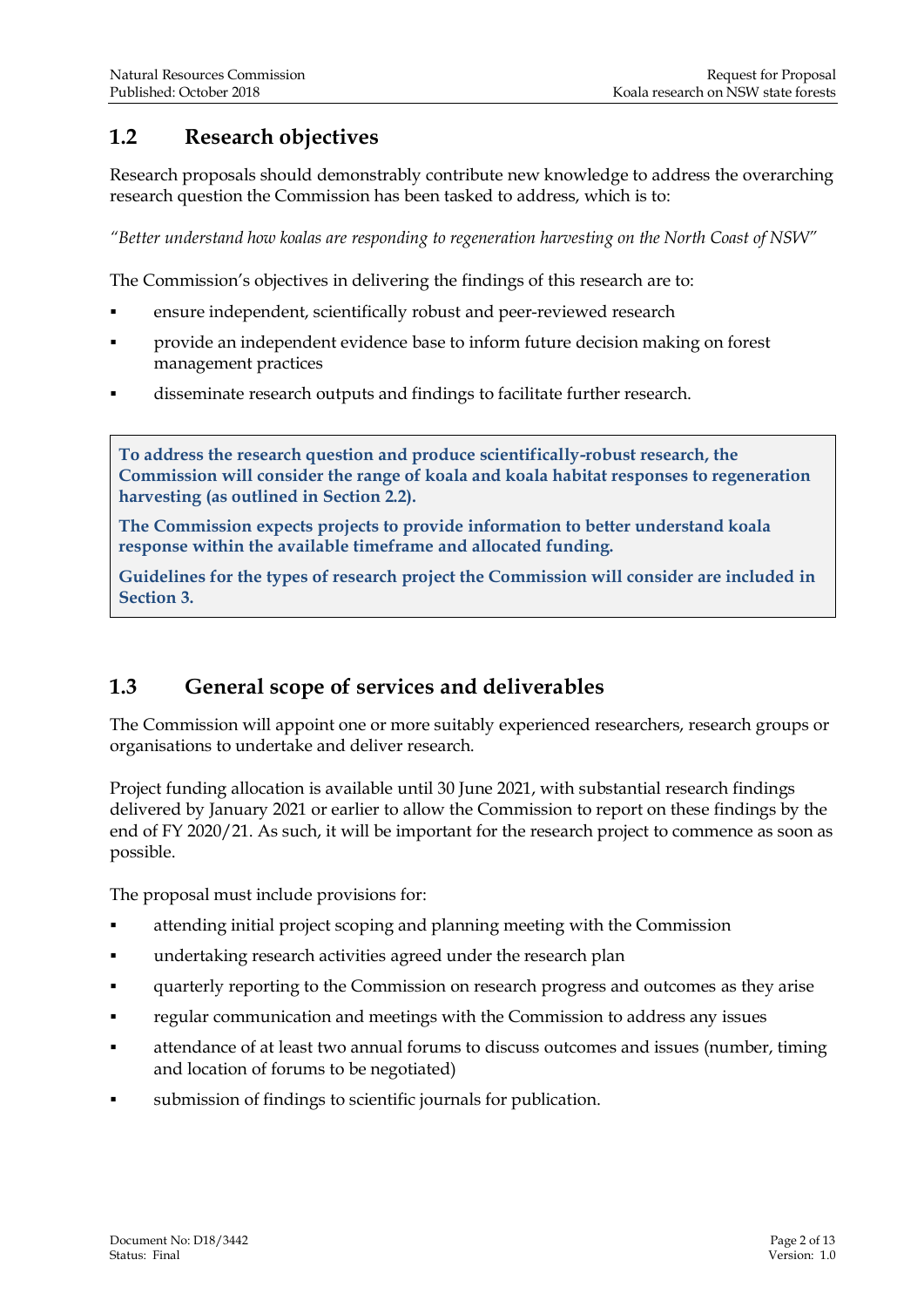#### <span id="page-3-0"></span>**1.2 Research objectives**

Research proposals should demonstrably contribute new knowledge to address the overarching research question the Commission has been tasked to address, which is to:

*"Better understand how koalas are responding to regeneration harvesting on the North Coast of NSW"*

The Commission's objectives in delivering the findings of this research are to:

- ensure independent, scientifically robust and peer-reviewed research
- provide an independent evidence base to inform future decision making on forest management practices
- disseminate research outputs and findings to facilitate further research.

**To address the research question and produce scientifically-robust research, the Commission will consider the range of koala and koala habitat responses to regeneration harvesting (as outlined in Section 2.2).**

**The Commission expects projects to provide information to better understand koala response within the available timeframe and allocated funding.**

**Guidelines for the types of research project the Commission will consider are included in Section 3.** 

#### <span id="page-3-1"></span>**1.3 General scope of services and deliverables**

The Commission will appoint one or more suitably experienced researchers, research groups or organisations to undertake and deliver research.

Project funding allocation is available until 30 June 2021, with substantial research findings delivered by January 2021 or earlier to allow the Commission to report on these findings by the end of FY 2020/21. As such, it will be important for the research project to commence as soon as possible.

The proposal must include provisions for:

- attending initial project scoping and planning meeting with the Commission
- **undertaking research activities agreed under the research plan**
- quarterly reporting to the Commission on research progress and outcomes as they arise
- **regular communication and meetings with the Commission to address any issues**
- attendance of at least two annual forums to discuss outcomes and issues (number, timing and location of forums to be negotiated)
- submission of findings to scientific journals for publication.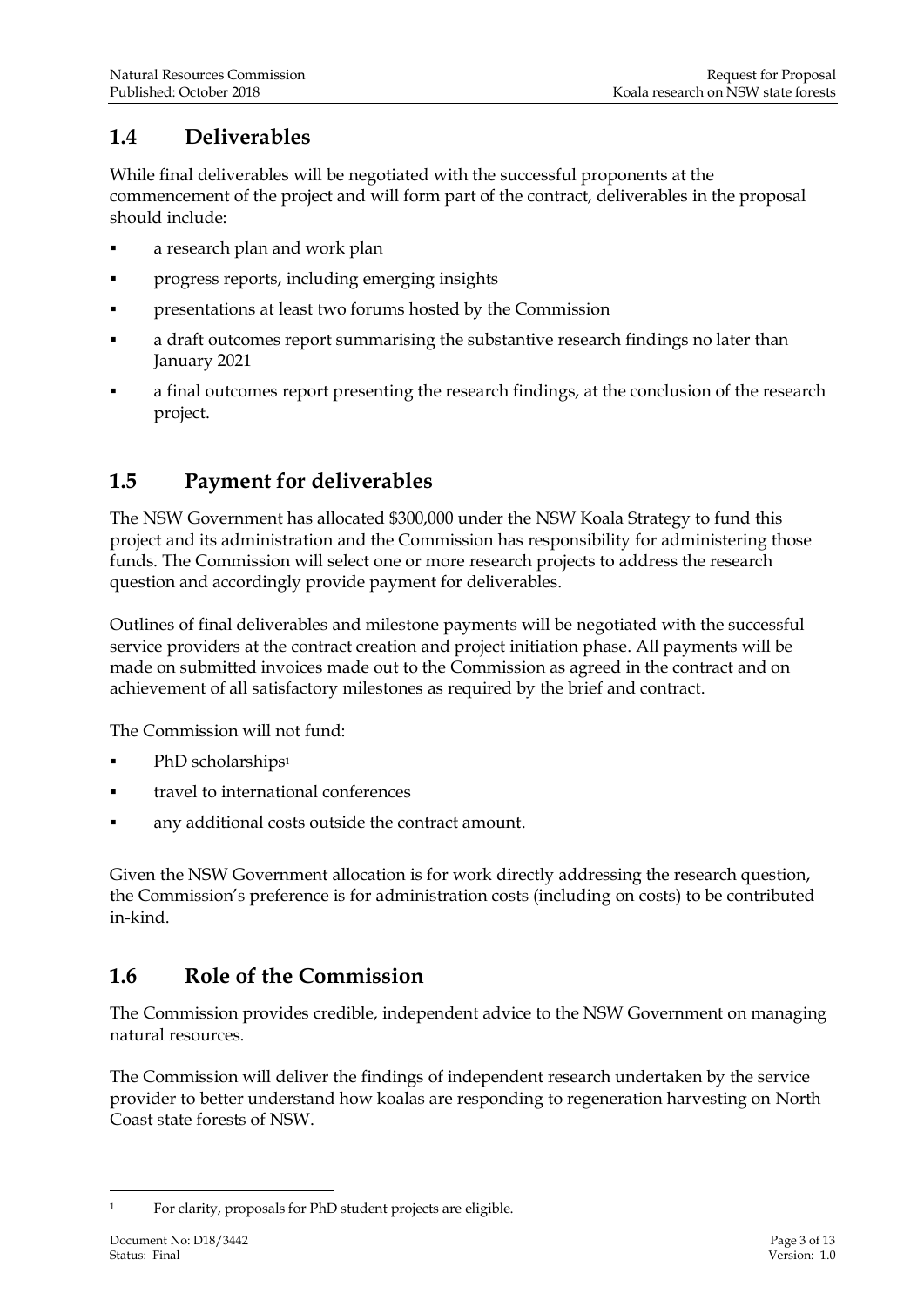#### <span id="page-4-0"></span>**1.4 Deliverables**

While final deliverables will be negotiated with the successful proponents at the commencement of the project and will form part of the contract, deliverables in the proposal should include:

- a research plan and work plan
- **progress reports, including emerging insights**
- presentations at least two forums hosted by the Commission
- a draft outcomes report summarising the substantive research findings no later than January 2021
- a final outcomes report presenting the research findings, at the conclusion of the research project.

### <span id="page-4-1"></span>**1.5 Payment for deliverables**

The NSW Government has allocated \$300,000 under the NSW Koala Strategy to fund this project and its administration and the Commission has responsibility for administering those funds. The Commission will select one or more research projects to address the research question and accordingly provide payment for deliverables.

Outlines of final deliverables and milestone payments will be negotiated with the successful service providers at the contract creation and project initiation phase. All payments will be made on submitted invoices made out to the Commission as agreed in the contract and on achievement of all satisfactory milestones as required by the brief and contract.

The Commission will not fund:

- PhD scholarships<sup>1</sup>
- travel to international conferences
- any additional costs outside the contract amount.

Given the NSW Government allocation is for work directly addressing the research question, the Commission's preference is for administration costs (including on costs) to be contributed in-kind.

#### <span id="page-4-2"></span>**1.6 Role of the Commission**

The Commission provides credible, independent advice to the NSW Government on managing natural resources.

The Commission will deliver the findings of independent research undertaken by the service provider to better understand how koalas are responding to regeneration harvesting on North Coast state forests of NSW.

<sup>-</sup><sup>1</sup> For clarity, proposals for PhD student projects are eligible.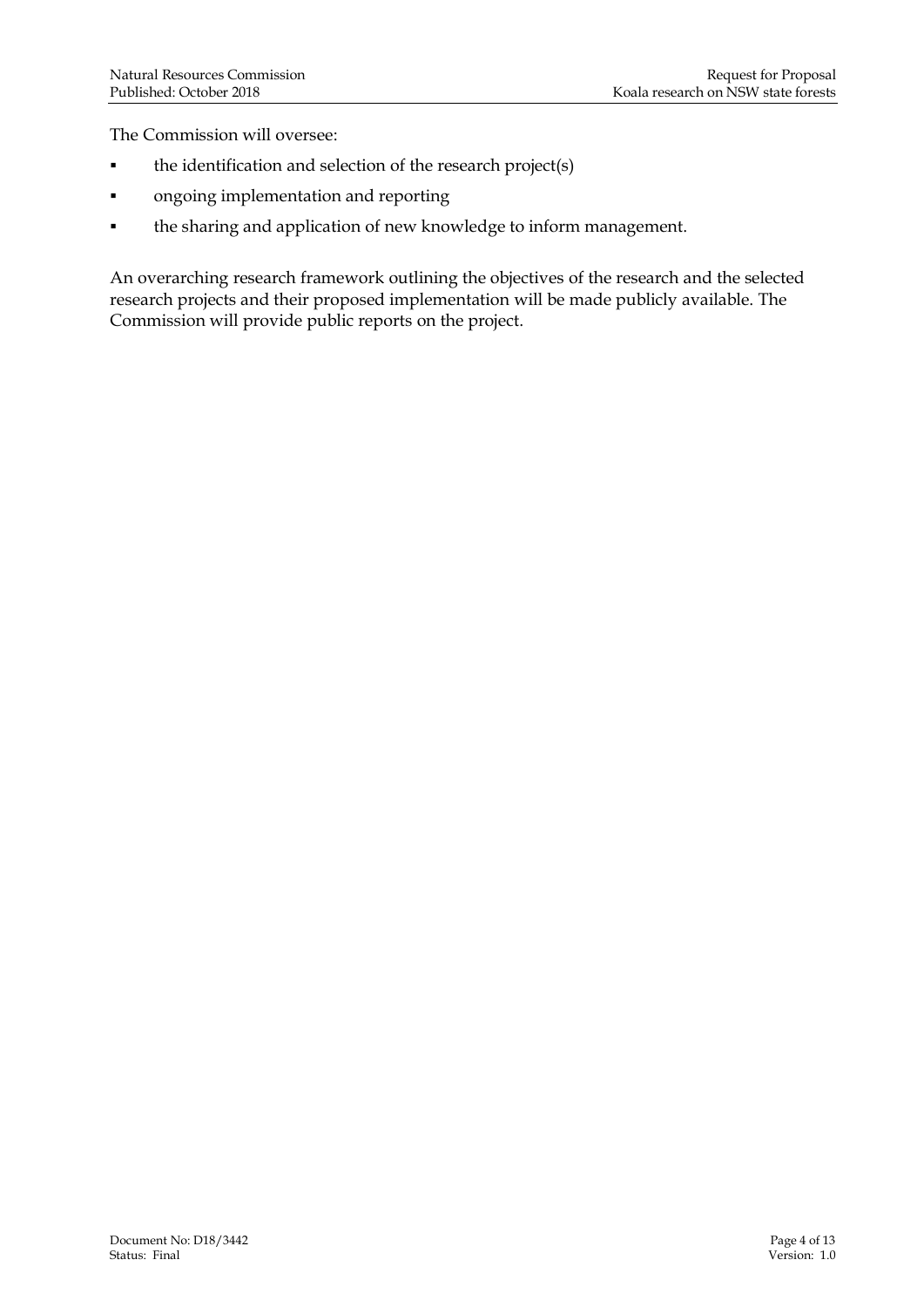The Commission will oversee:

- the identification and selection of the research project(s)
- ongoing implementation and reporting
- the sharing and application of new knowledge to inform management.

An overarching research framework outlining the objectives of the research and the selected research projects and their proposed implementation will be made publicly available. The Commission will provide public reports on the project.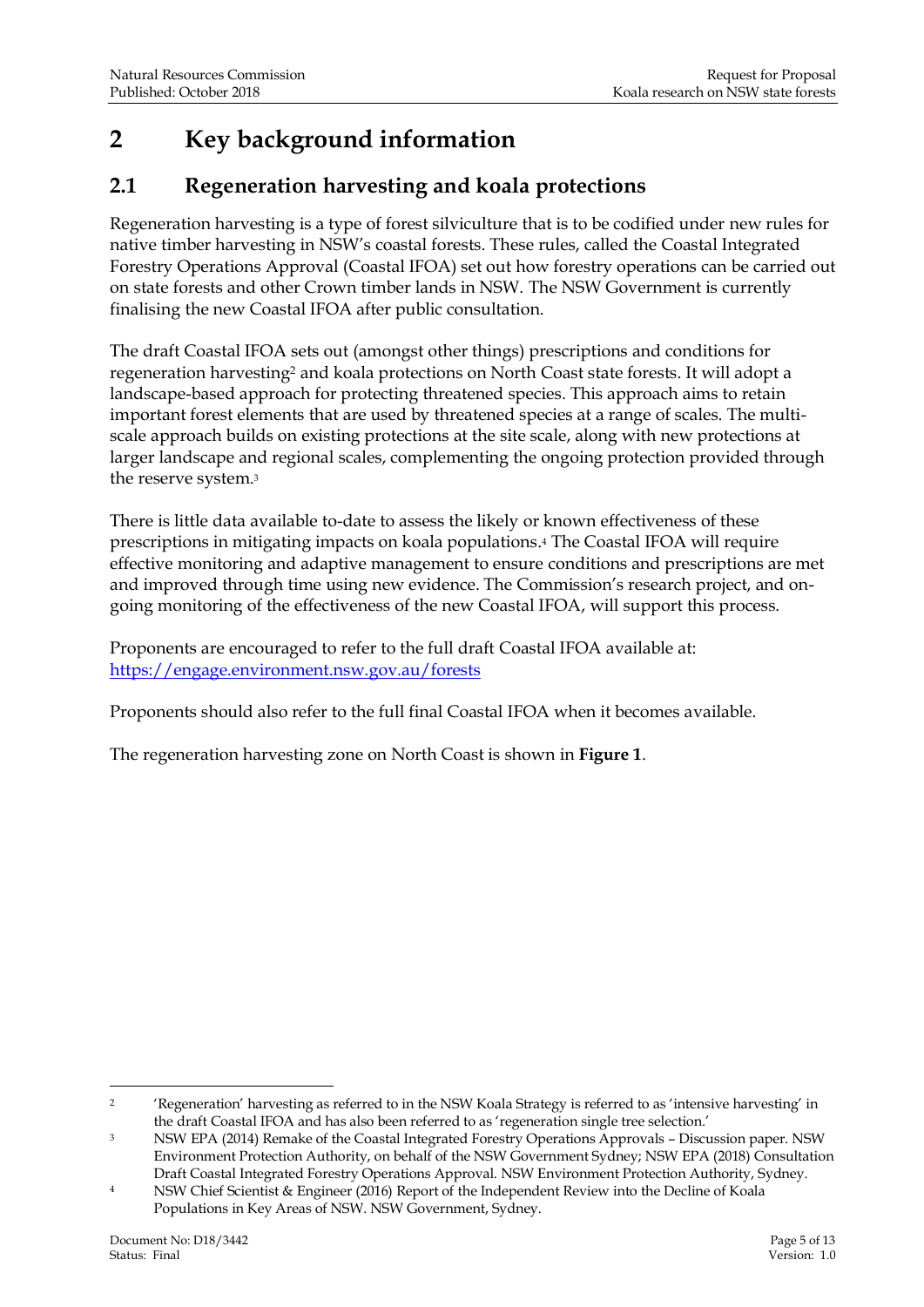## <span id="page-6-0"></span>**2 Key background information**

#### <span id="page-6-1"></span>**2.1 Regeneration harvesting and koala protections**

Regeneration harvesting is a type of forest silviculture that is to be codified under new rules for native timber harvesting in NSW's coastal forests. These rules, called the Coastal Integrated Forestry Operations Approval (Coastal IFOA) set out how forestry operations can be carried out on state forests and other Crown timber lands in NSW. The NSW Government is currently finalising the new Coastal IFOA after public consultation.

The draft Coastal IFOA sets out (amongst other things) prescriptions and conditions for regeneration harvesting<sup>2</sup> and koala protections on North Coast state forests. It will adopt a landscape-based approach for protecting threatened species. This approach aims to retain important forest elements that are used by threatened species at a range of scales. The multiscale approach builds on existing protections at the site scale, along with new protections at larger landscape and regional scales, complementing the ongoing protection provided through the reserve system.<sup>3</sup>

There is little data available to-date to assess the likely or known effectiveness of these prescriptions in mitigating impacts on koala populations.<sup>4</sup> The Coastal IFOA will require effective monitoring and adaptive management to ensure conditions and prescriptions are met and improved through time using new evidence. The Commission's research project, and ongoing monitoring of the effectiveness of the new Coastal IFOA, will support this process.

Proponents are encouraged to refer to the full draft Coastal IFOA available at: <https://engage.environment.nsw.gov.au/forests>

Proponents should also refer to the full final Coastal IFOA when it becomes available.

The regeneration harvesting zone on North Coast is shown in **Figure 1**.

<sup>&</sup>lt;u>.</u> <sup>2</sup> 'Regeneration' harvesting as referred to in the NSW Koala Strategy is referred to as 'intensive harvesting' in the draft Coastal IFOA and has also been referred to as 'regeneration single tree selection.'

<sup>3</sup> NSW EPA (2014) Remake of the Coastal Integrated Forestry Operations Approvals – Discussion paper. NSW Environment Protection Authority, on behalf of the NSW Government Sydney; NSW EPA (2018) Consultation Draft Coastal Integrated Forestry Operations Approval. NSW Environment Protection Authority, Sydney.

<sup>4</sup> NSW Chief Scientist & Engineer (2016) Report of the Independent Review into the Decline of Koala Populations in Key Areas of NSW. NSW Government, Sydney.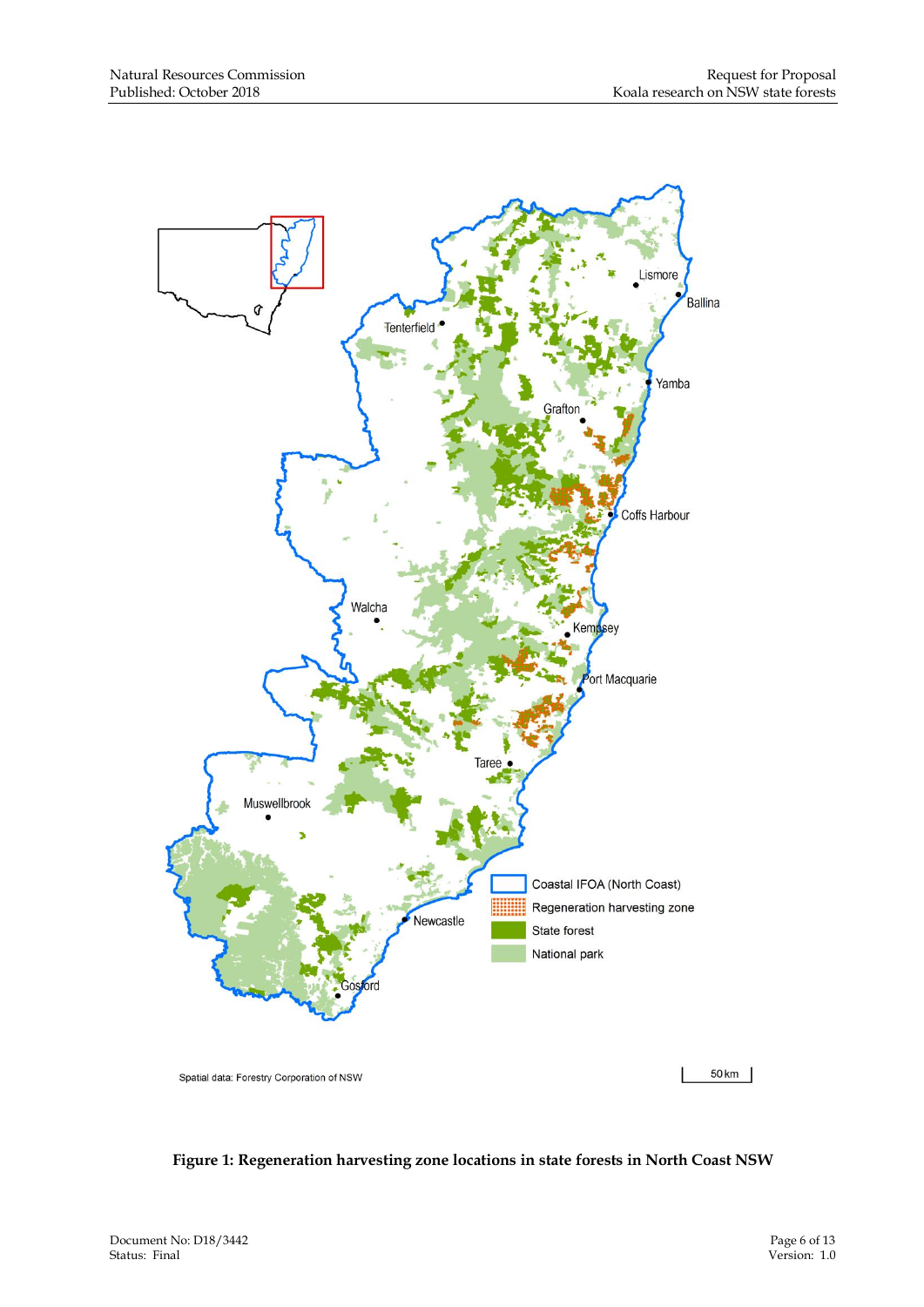

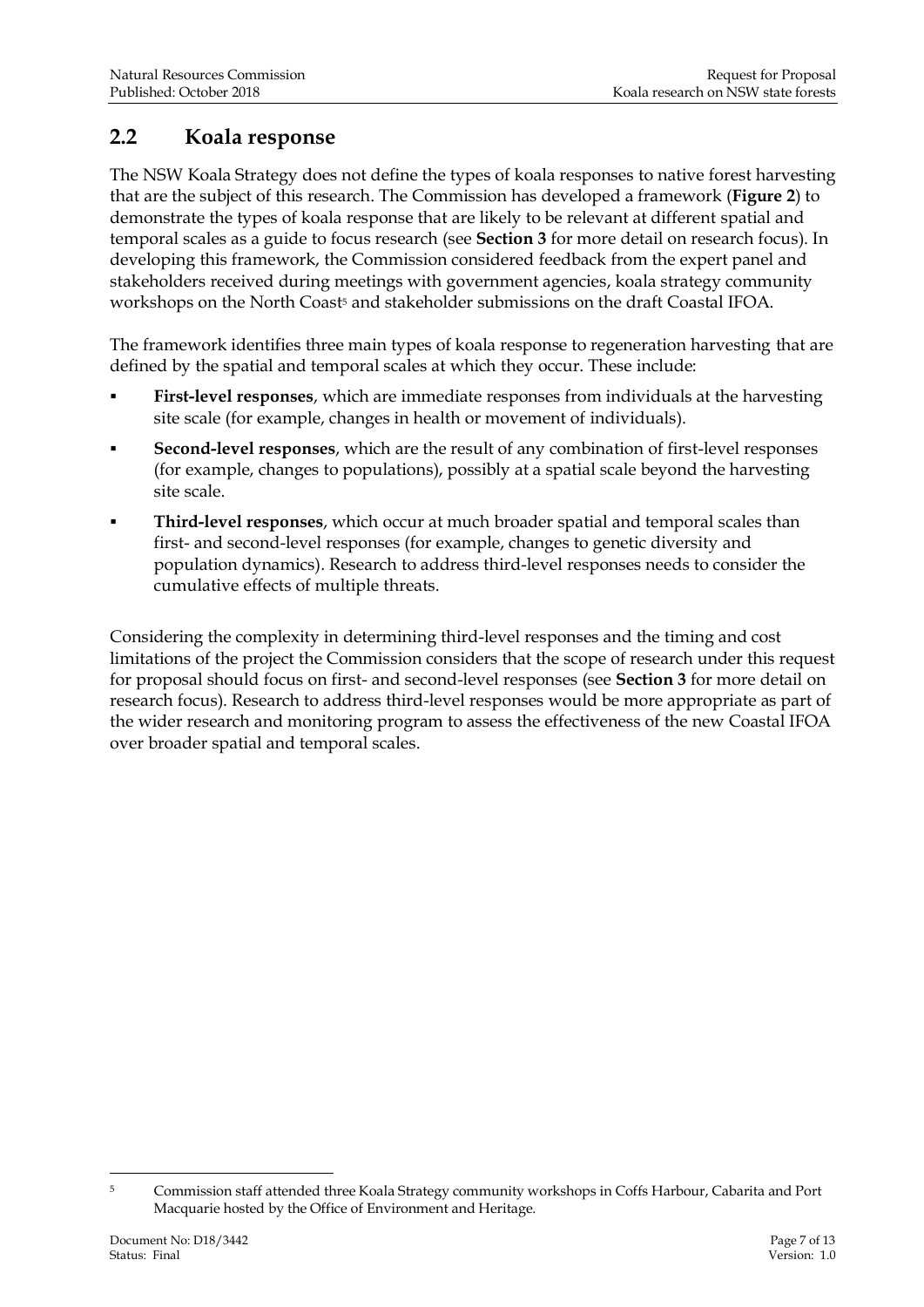#### <span id="page-8-0"></span>**2.2 Koala response**

The NSW Koala Strategy does not define the types of koala responses to native forest harvesting that are the subject of this research. The Commission has developed a framework (**Figure 2**) to demonstrate the types of koala response that are likely to be relevant at different spatial and temporal scales as a guide to focus research (see **Section 3** for more detail on research focus). In developing this framework, the Commission considered feedback from the expert panel and stakeholders received during meetings with government agencies, koala strategy community workshops on the North Coast<sup>5</sup> and stakeholder submissions on the draft Coastal IFOA.

The framework identifies three main types of koala response to regeneration harvesting that are defined by the spatial and temporal scales at which they occur. These include:

- **First-level responses**, which are immediate responses from individuals at the harvesting site scale (for example, changes in health or movement of individuals).
- **Second-level responses**, which are the result of any combination of first-level responses (for example, changes to populations), possibly at a spatial scale beyond the harvesting site scale.
- **Third-level responses**, which occur at much broader spatial and temporal scales than first- and second-level responses (for example, changes to genetic diversity and population dynamics). Research to address third-level responses needs to consider the cumulative effects of multiple threats.

Considering the complexity in determining third-level responses and the timing and cost limitations of the project the Commission considers that the scope of research under this request for proposal should focus on first- and second-level responses (see **Section 3** for more detail on research focus). Research to address third-level responses would be more appropriate as part of the wider research and monitoring program to assess the effectiveness of the new Coastal IFOA over broader spatial and temporal scales.

-

<sup>&</sup>lt;sup>5</sup> Commission staff attended three Koala Strategy community workshops in Coffs Harbour, Cabarita and Port Macquarie hosted by the Office of Environment and Heritage.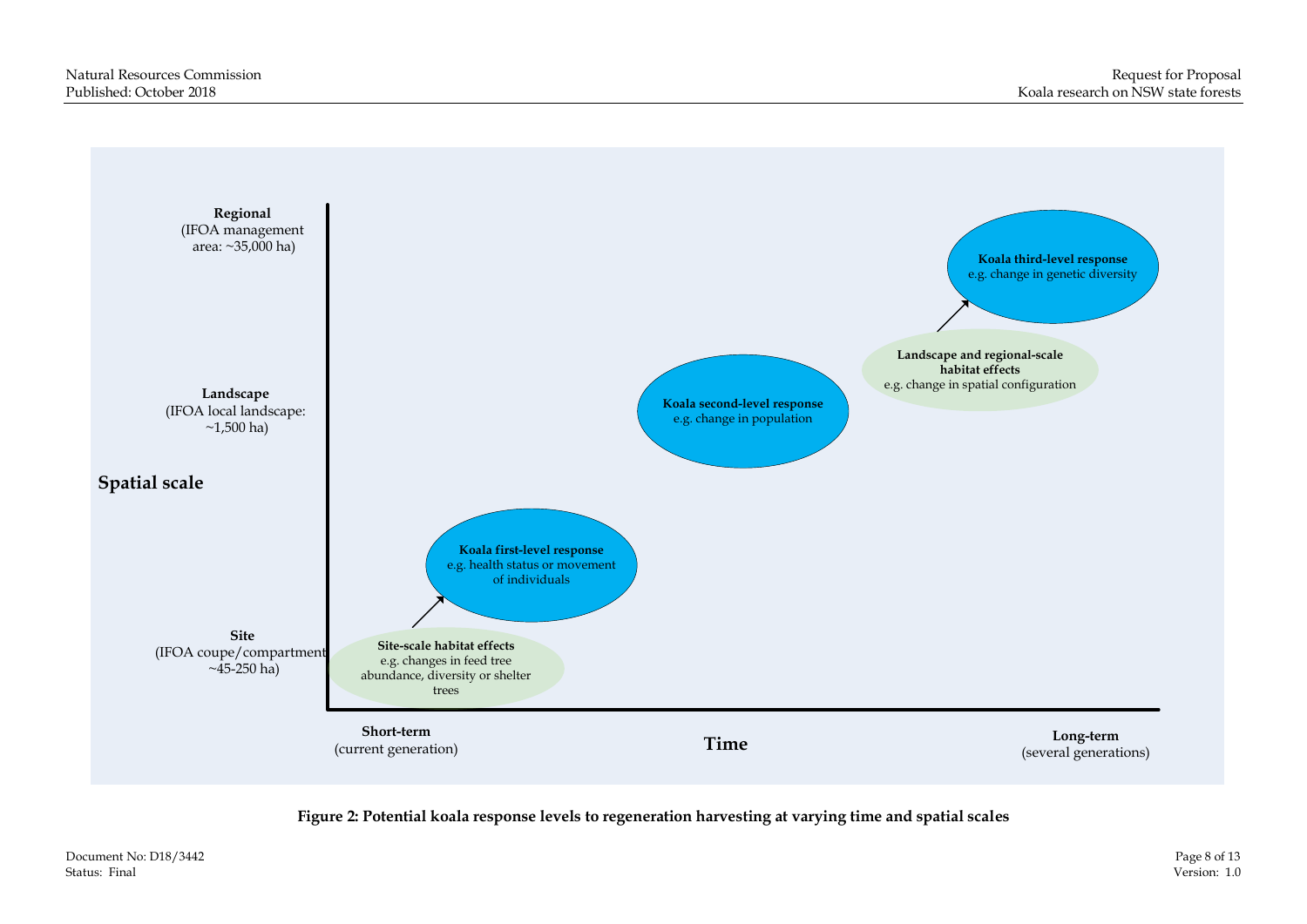

**Figure 2: Potential koala response levels to regeneration harvesting at varying time and spatial scales**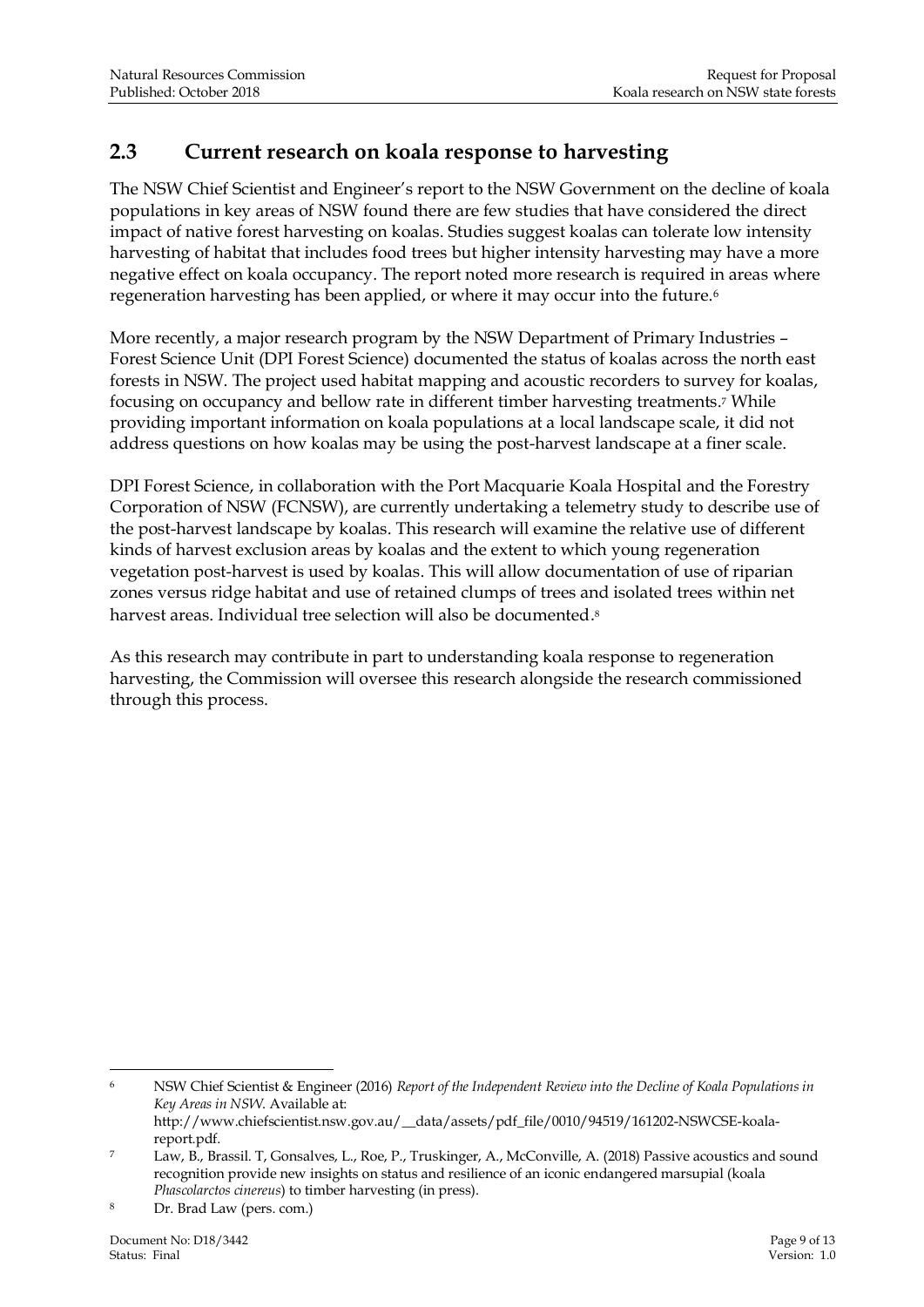### <span id="page-10-0"></span>**2.3 Current research on koala response to harvesting**

The NSW Chief Scientist and Engineer's report to the NSW Government on the decline of koala populations in key areas of NSW found there are few studies that have considered the direct impact of native forest harvesting on koalas. Studies suggest koalas can tolerate low intensity harvesting of habitat that includes food trees but higher intensity harvesting may have a more negative effect on koala occupancy. The report noted more research is required in areas where regeneration harvesting has been applied, or where it may occur into the future.<sup>6</sup>

More recently, a major research program by the NSW Department of Primary Industries – Forest Science Unit (DPI Forest Science) documented the status of koalas across the north east forests in NSW. The project used habitat mapping and acoustic recorders to survey for koalas, focusing on occupancy and bellow rate in different timber harvesting treatments.<sup>7</sup> While providing important information on koala populations at a local landscape scale, it did not address questions on how koalas may be using the post-harvest landscape at a finer scale.

DPI Forest Science, in collaboration with the Port Macquarie Koala Hospital and the Forestry Corporation of NSW (FCNSW), are currently undertaking a telemetry study to describe use of the post-harvest landscape by koalas. This research will examine the relative use of different kinds of harvest exclusion areas by koalas and the extent to which young regeneration vegetation post-harvest is used by koalas. This will allow documentation of use of riparian zones versus ridge habitat and use of retained clumps of trees and isolated trees within net harvest areas. Individual tree selection will also be documented.<sup>8</sup>

As this research may contribute in part to understanding koala response to regeneration harvesting, the Commission will oversee this research alongside the research commissioned through this process.

-

<sup>6</sup> NSW Chief Scientist & Engineer (2016) *Report of the Independent Review into the Decline of Koala Populations in Key Areas in NSW*. Available at: http://www.chiefscientist.nsw.gov.au/\_\_data/assets/pdf\_file/0010/94519/161202-NSWCSE-koala-

report.pdf.

<sup>7</sup> Law, B., Brassil. T, Gonsalves, L., Roe, P., Truskinger, A., McConville, A. (2018) Passive acoustics and sound recognition provide new insights on status and resilience of an iconic endangered marsupial (koala *Phascolarctos cinereus*) to timber harvesting (in press).

Dr. Brad Law (pers. com.)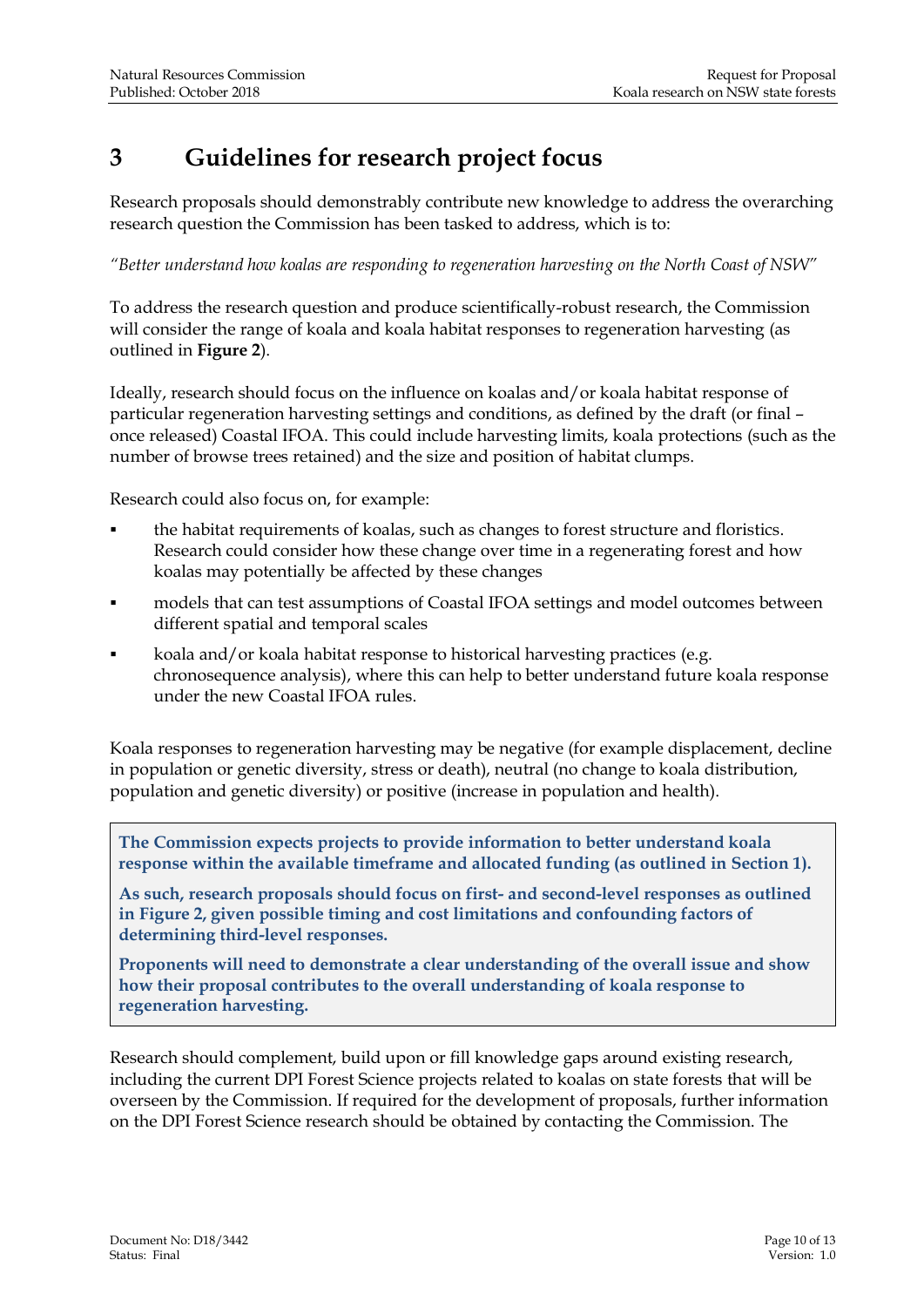## <span id="page-11-0"></span>**3 Guidelines for research project focus**

Research proposals should demonstrably contribute new knowledge to address the overarching research question the Commission has been tasked to address, which is to:

*"Better understand how koalas are responding to regeneration harvesting on the North Coast of NSW"*

To address the research question and produce scientifically-robust research, the Commission will consider the range of koala and koala habitat responses to regeneration harvesting (as outlined in **Figure 2**).

Ideally, research should focus on the influence on koalas and/or koala habitat response of particular regeneration harvesting settings and conditions, as defined by the draft (or final – once released) Coastal IFOA. This could include harvesting limits, koala protections (such as the number of browse trees retained) and the size and position of habitat clumps.

Research could also focus on, for example:

- the habitat requirements of koalas, such as changes to forest structure and floristics. Research could consider how these change over time in a regenerating forest and how koalas may potentially be affected by these changes
- models that can test assumptions of Coastal IFOA settings and model outcomes between different spatial and temporal scales
- koala and/or koala habitat response to historical harvesting practices (e.g. chronosequence analysis), where this can help to better understand future koala response under the new Coastal IFOA rules.

Koala responses to regeneration harvesting may be negative (for example displacement, decline in population or genetic diversity, stress or death), neutral (no change to koala distribution, population and genetic diversity) or positive (increase in population and health).

**The Commission expects projects to provide information to better understand koala response within the available timeframe and allocated funding (as outlined in Section 1).**

**As such, research proposals should focus on first- and second-level responses as outlined in Figure 2, given possible timing and cost limitations and confounding factors of determining third-level responses.**

**Proponents will need to demonstrate a clear understanding of the overall issue and show how their proposal contributes to the overall understanding of koala response to regeneration harvesting.**

Research should complement, build upon or fill knowledge gaps around existing research, including the current DPI Forest Science projects related to koalas on state forests that will be overseen by the Commission. If required for the development of proposals, further information on the DPI Forest Science research should be obtained by contacting the Commission. The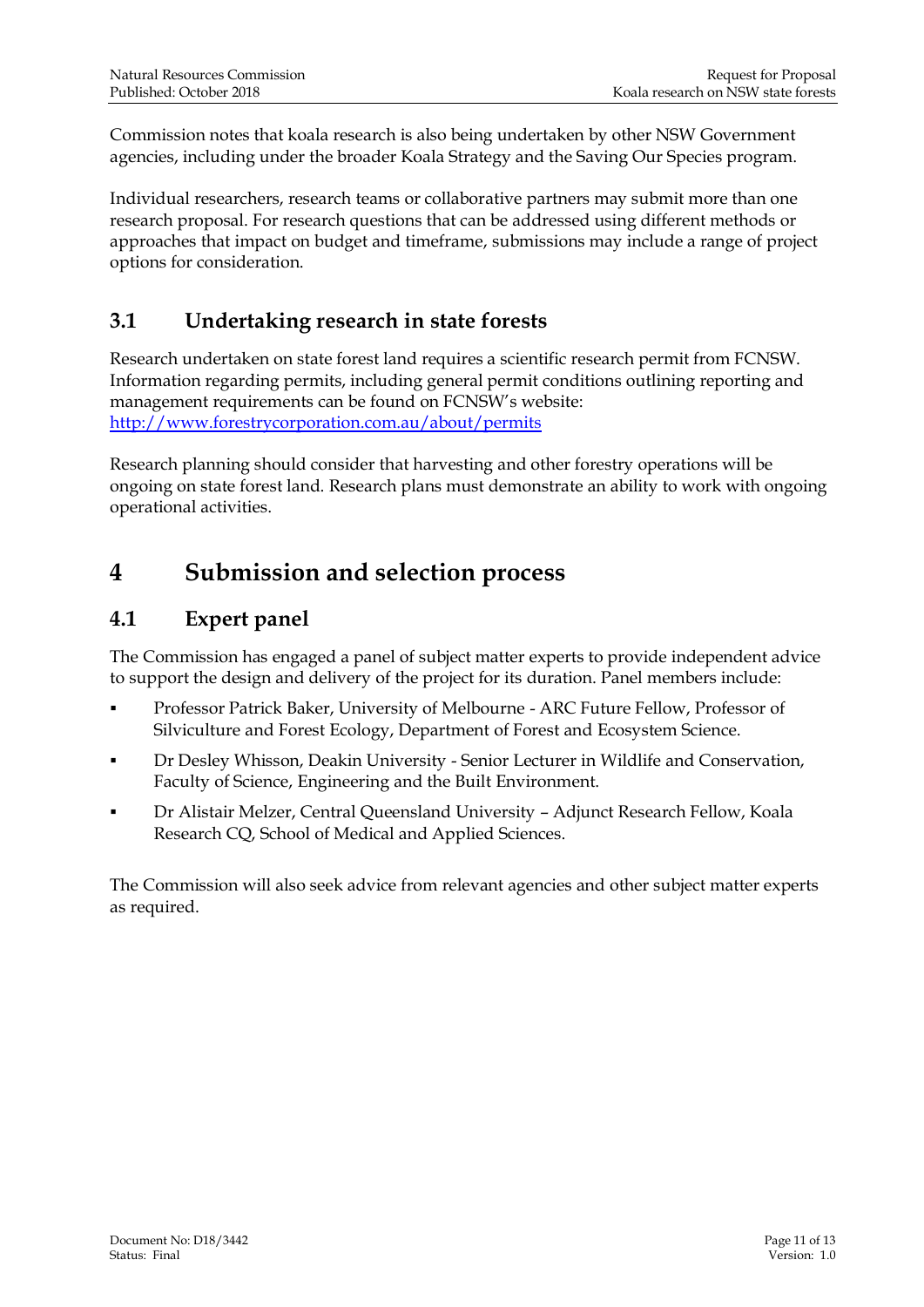Commission notes that koala research is also being undertaken by other NSW Government agencies, including under the broader Koala Strategy and the Saving Our Species program.

Individual researchers, research teams or collaborative partners may submit more than one research proposal. For research questions that can be addressed using different methods or approaches that impact on budget and timeframe, submissions may include a range of project options for consideration.

#### <span id="page-12-0"></span>**3.1 Undertaking research in state forests**

Research undertaken on state forest land requires a scientific research permit from FCNSW. Information regarding permits, including general permit conditions outlining reporting and management requirements can be found on FCNSW's website: <http://www.forestrycorporation.com.au/about/permits>

Research planning should consider that harvesting and other forestry operations will be ongoing on state forest land. Research plans must demonstrate an ability to work with ongoing operational activities.

### <span id="page-12-1"></span>**4 Submission and selection process**

#### <span id="page-12-2"></span>**4.1 Expert panel**

The Commission has engaged a panel of subject matter experts to provide independent advice to support the design and delivery of the project for its duration. Panel members include:

- Professor Patrick Baker, University of Melbourne ARC Future Fellow, Professor of Silviculture and Forest Ecology, Department of Forest and Ecosystem Science.
- Dr Desley Whisson, Deakin University Senior Lecturer in Wildlife and Conservation, Faculty of Science, Engineering and the Built Environment.
- Dr Alistair Melzer, Central Queensland University Adjunct Research Fellow, Koala Research CQ, School of Medical and Applied Sciences.

The Commission will also seek advice from relevant agencies and other subject matter experts as required.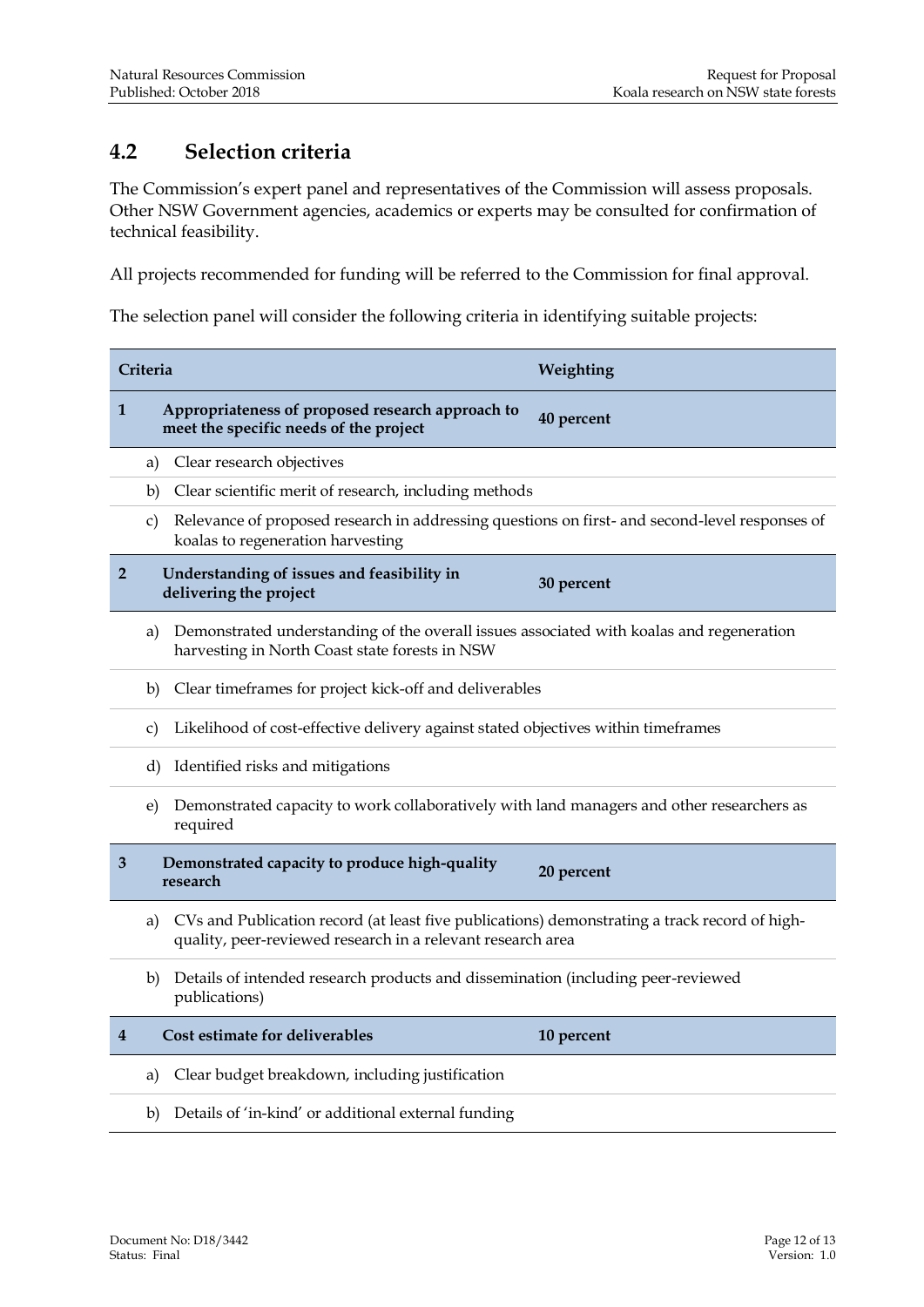#### <span id="page-13-0"></span>**4.2 Selection criteria**

The Commission's expert panel and representatives of the Commission will assess proposals. Other NSW Government agencies, academics or experts may be consulted for confirmation of technical feasibility.

All projects recommended for funding will be referred to the Commission for final approval.

The selection panel will consider the following criteria in identifying suitable projects:

| Criteria       |                                                                                                                                                                    | Weighting                                                                                      |  |  |
|----------------|--------------------------------------------------------------------------------------------------------------------------------------------------------------------|------------------------------------------------------------------------------------------------|--|--|
| 1              | Appropriateness of proposed research approach to<br>meet the specific needs of the project                                                                         | 40 percent                                                                                     |  |  |
|                | Clear research objectives<br>a)                                                                                                                                    |                                                                                                |  |  |
| b)             | Clear scientific merit of research, including methods                                                                                                              |                                                                                                |  |  |
|                | c)<br>koalas to regeneration harvesting                                                                                                                            | Relevance of proposed research in addressing questions on first- and second-level responses of |  |  |
| $\overline{2}$ | Understanding of issues and feasibility in<br>delivering the project                                                                                               | 30 percent                                                                                     |  |  |
|                | Demonstrated understanding of the overall issues associated with koalas and regeneration<br>a)<br>harvesting in North Coast state forests in NSW                   |                                                                                                |  |  |
|                | Clear timeframes for project kick-off and deliverables<br>b)                                                                                                       |                                                                                                |  |  |
|                | c)                                                                                                                                                                 | Likelihood of cost-effective delivery against stated objectives within timeframes              |  |  |
|                | d)<br>Identified risks and mitigations                                                                                                                             |                                                                                                |  |  |
|                | Demonstrated capacity to work collaboratively with land managers and other researchers as<br>e)<br>required                                                        |                                                                                                |  |  |
| 3              | Demonstrated capacity to produce high-quality<br>research                                                                                                          | 20 percent                                                                                     |  |  |
|                | CVs and Publication record (at least five publications) demonstrating a track record of high-<br>a)<br>quality, peer-reviewed research in a relevant research area |                                                                                                |  |  |
| b)             | Details of intended research products and dissemination (including peer-reviewed<br>publications)                                                                  |                                                                                                |  |  |
| 4              | Cost estimate for deliverables                                                                                                                                     | 10 percent                                                                                     |  |  |
|                | Clear budget breakdown, including justification<br>a)                                                                                                              |                                                                                                |  |  |
|                | Details of 'in-kind' or additional external funding<br>b)                                                                                                          |                                                                                                |  |  |